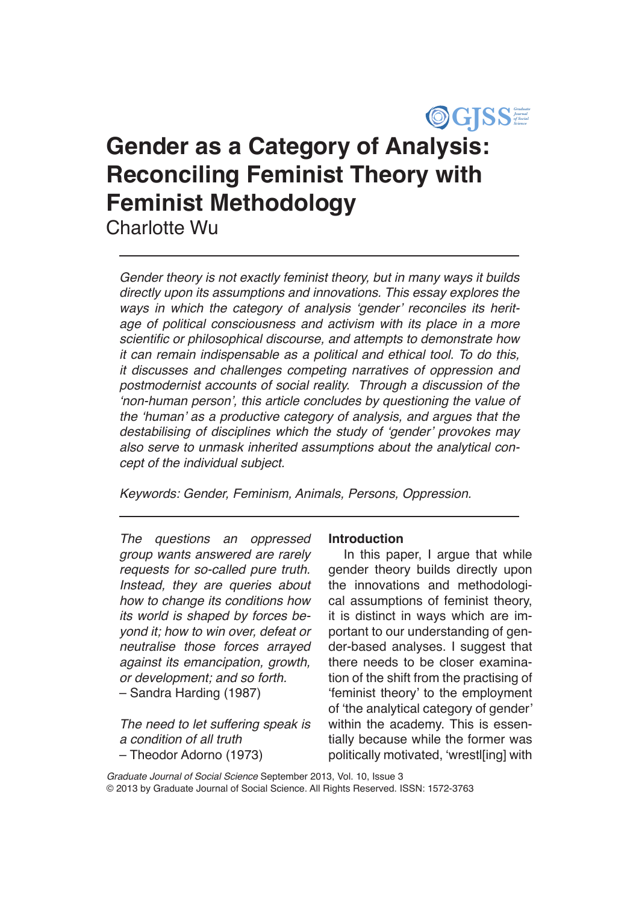

# **Gender as a Category of Analysis: Reconciling Feminist Theory with Feminist Methodology** Charlotte Wu

*Gender theory is not exactly feminist theory, but in many ways it builds directly upon its assumptions and innovations. This essay explores the*  ways in which the category of analysis 'gender' reconciles its herit*age of political consciousness and activism with its place in a more*  scientific or philosophical discourse, and attempts to demonstrate how *it can remain indispensable as a political and ethical tool. To do this, it discusses and challenges competing narratives of oppression and postmodernist accounts of social reality. Through a discussion of the*  'non-human person', this article concludes by questioning the value of the 'human' as a productive category of analysis, and argues that the destabilising of disciplines which the study of 'gender' provokes may also serve to unmask inherited assumptions about the analytical con*cept of the individual subject.*

*Keywords: Gender, Feminism, Animals, Persons, Oppression.* 

The questions an oppressed *group wants answered are rarely*  requests for so-called pure truth. Instead, they are queries about *how to change its conditions how its world is shaped by forces beyond it; how to win over, defeat or neutralise those forces arrayed against its emancipation, growth, or development; and so forth.* – Sandra Harding (1987)

The need to let suffering speak is *a condition of all truth* – Theodor Adorno (1973)

#### **Introduction**

In this paper, I argue that while gender theory builds directly upon the innovations and methodological assumptions of feminist theory, it is distinct in ways which are important to our understanding of gender-based analyses. I suggest that there needs to be closer examination of the shift from the practising of 'feminist theory' to the employment of 'the analytical category of gender' within the academy. This is essentially because while the former was politically motivated, 'wrestl[ing] with

*Graduate Journal of Social Science* September 2013, Vol. 10, Issue 3 © 2013 by Graduate Journal of Social Science. All Rights Reserved. ISSN: 1572-3763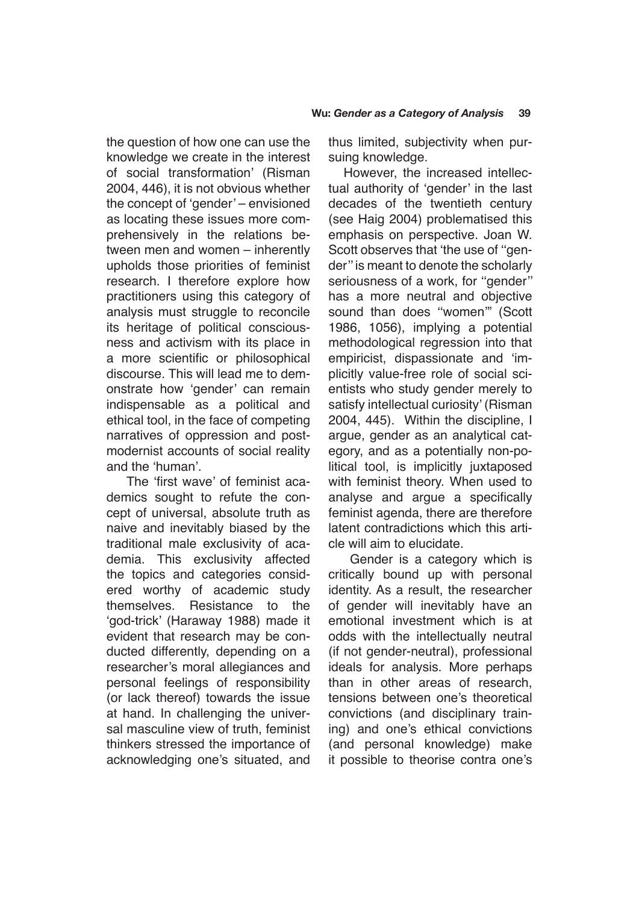the question of how one can use the knowledge we create in the interest of social transformation' (Risman 2004, 446), it is not obvious whether the concept of 'gender' – envisioned as locating these issues more comprehensively in the relations between men and women – inherently upholds those priorities of feminist research. I therefore explore how practitioners using this category of analysis must struggle to reconcile its heritage of political consciousness and activism with its place in a more scientific or philosophical discourse. This will lead me to demonstrate how 'gender' can remain indispensable as a political and ethical tool, in the face of competing narratives of oppression and postmodernist accounts of social reality and the 'human'.

 The 'first wave' of feminist academics sought to refute the concept of universal, absolute truth as naive and inevitably biased by the traditional male exclusivity of academia. This exclusivity affected the topics and categories considered worthy of academic study themselves. Resistance to the 'god-trick' (Haraway 1988) made it evident that research may be conducted differently, depending on a researcher's moral allegiances and personal feelings of responsibility (or lack thereof) towards the issue at hand. In challenging the universal masculine view of truth, feminist thinkers stressed the importance of acknowledging one's situated, and thus limited, subjectivity when pursuing knowledge.

However, the increased intellectual authority of 'gender' in the last decades of the twentieth century (see Haig 2004) problematised this emphasis on perspective. Joan W. Scott observes that 'the use of ''gender'' is meant to denote the scholarly seriousness of a work, for "gender" has a more neutral and objective sound than does "women" (Scott 1986, 1056), implying a potential methodological regression into that empiricist, dispassionate and 'implicitly value-free role of social scientists who study gender merely to satisfy intellectual curiosity' (Risman 2004, 445). Within the discipline, I argue, gender as an analytical category, and as a potentially non-political tool, is implicitly juxtaposed with feminist theory. When used to analyse and argue a specifically feminist agenda, there are therefore latent contradictions which this article will aim to elucidate.

 Gender is a category which is critically bound up with personal identity. As a result, the researcher of gender will inevitably have an emotional investment which is at odds with the intellectually neutral (if not gender-neutral), professional ideals for analysis. More perhaps than in other areas of research, tensions between one's theoretical convictions (and disciplinary training) and one's ethical convictions (and personal knowledge) make it possible to theorise contra one's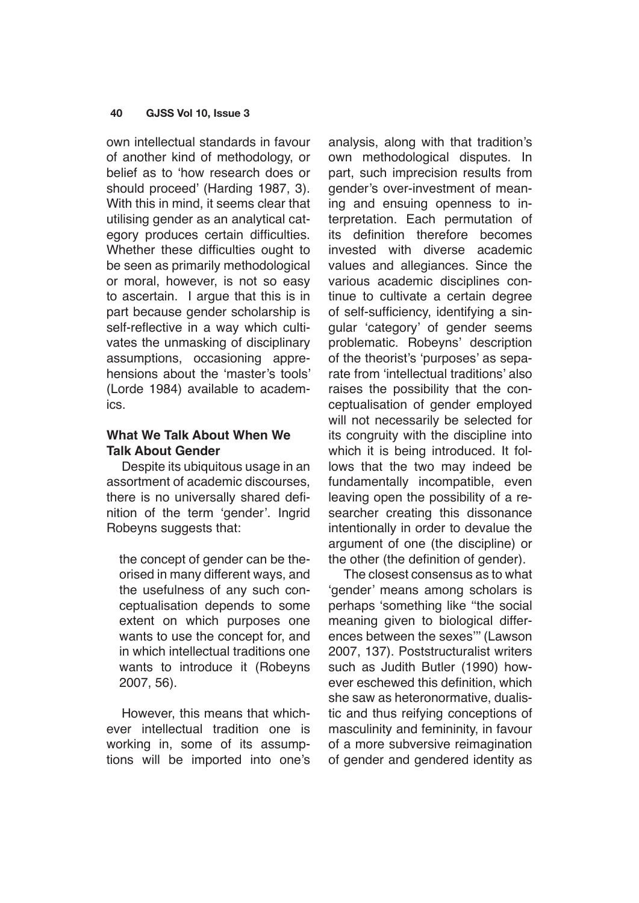own intellectual standards in favour of another kind of methodology, or belief as to 'how research does or should proceed' (Harding 1987, 3). With this in mind, it seems clear that utilising gender as an analytical category produces certain difficulties. Whether these difficulties ought to be seen as primarily methodological or moral, however, is not so easy to ascertain. I argue that this is in part because gender scholarship is self-reflective in a way which cultivates the unmasking of disciplinary assumptions, occasioning apprehensions about the 'master's tools' (Lorde 1984) available to academics.

# **What We Talk About When We Talk About Gender**

Despite its ubiquitous usage in an assortment of academic discourses, there is no universally shared definition of the term 'gender'. Ingrid Robeyns suggests that:

the concept of gender can be theorised in many different ways, and the usefulness of any such conceptualisation depends to some extent on which purposes one wants to use the concept for, and in which intellectual traditions one wants to introduce it (Robeyns 2007, 56).

However, this means that whichever intellectual tradition one is working in, some of its assumptions will be imported into one's analysis, along with that tradition's own methodological disputes. In part, such imprecision results from gender's over-investment of meaning and ensuing openness to interpretation. Each permutation of its definition therefore becomes invested with diverse academic values and allegiances. Since the various academic disciplines continue to cultivate a certain degree of self-sufficiency, identifying a singular 'category' of gender seems problematic. Robeyns' description of the theorist's 'purposes' as separate from 'intellectual traditions' also raises the possibility that the conceptualisation of gender employed will not necessarily be selected for its congruity with the discipline into which it is being introduced. It follows that the two may indeed be fundamentally incompatible, even leaving open the possibility of a researcher creating this dissonance intentionally in order to devalue the argument of one (the discipline) or the other (the definition of gender).

The closest consensus as to what 'gender' means among scholars is perhaps 'something like ''the social meaning given to biological differences between the sexes''' (Lawson 2007, 137). Poststructuralist writers such as Judith Butler (1990) however eschewed this definition, which she saw as heteronormative, dualistic and thus reifying conceptions of masculinity and femininity, in favour of a more subversive reimagination of gender and gendered identity as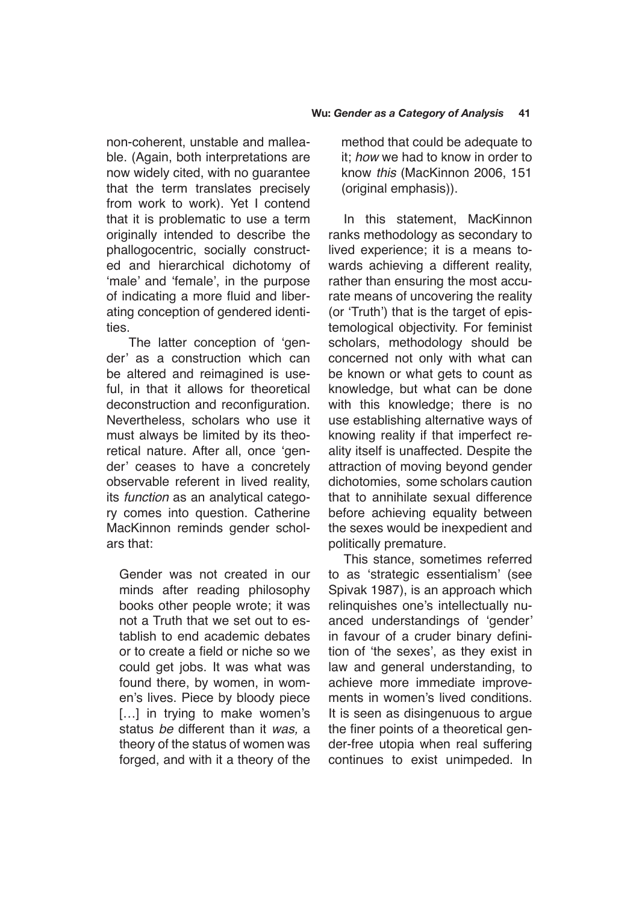non-coherent, unstable and malleable. (Again, both interpretations are now widely cited, with no guarantee that the term translates precisely from work to work). Yet I contend that it is problematic to use a term originally intended to describe the phallogocentric, socially constructed and hierarchical dichotomy of 'male' and 'female', in the purpose of indicating a more fluid and liberating conception of gendered identities.

 The latter conception of 'gender' as a construction which can be altered and reimagined is useful, in that it allows for theoretical deconstruction and reconfiguration. Nevertheless, scholars who use it must always be limited by its theoretical nature. After all, once 'gender' ceases to have a concretely observable referent in lived reality, its *function* as an analytical category comes into question. Catherine MacKinnon reminds gender scholars that:

Gender was not created in our minds after reading philosophy books other people wrote; it was not a Truth that we set out to establish to end academic debates or to create a field or niche so we could get jobs. It was what was found there, by women, in women's lives. Piece by bloody piece [...] in trying to make women's status *be* different than it *was,* a theory of the status of women was forged, and with it a theory of the method that could be adequate to it; *how* we had to know in order to know *this* (MacKinnon 2006, 151 (original emphasis)).

In this statement, MacKinnon ranks methodology as secondary to lived experience; it is a means towards achieving a different reality, rather than ensuring the most accurate means of uncovering the reality (or 'Truth') that is the target of epistemological objectivity. For feminist scholars, methodology should be concerned not only with what can be known or what gets to count as knowledge, but what can be done with this knowledge; there is no use establishing alternative ways of knowing reality if that imperfect reality itself is unaffected. Despite the attraction of moving beyond gender dichotomies, some scholars caution that to annihilate sexual difference before achieving equality between the sexes would be inexpedient and politically premature.

This stance, sometimes referred to as 'strategic essentialism' (see Spivak 1987), is an approach which relinquishes one's intellectually nuanced understandings of 'gender' in favour of a cruder binary definition of 'the sexes', as they exist in law and general understanding, to achieve more immediate improvements in women's lived conditions. It is seen as disingenuous to argue the finer points of a theoretical gender-free utopia when real suffering continues to exist unimpeded. In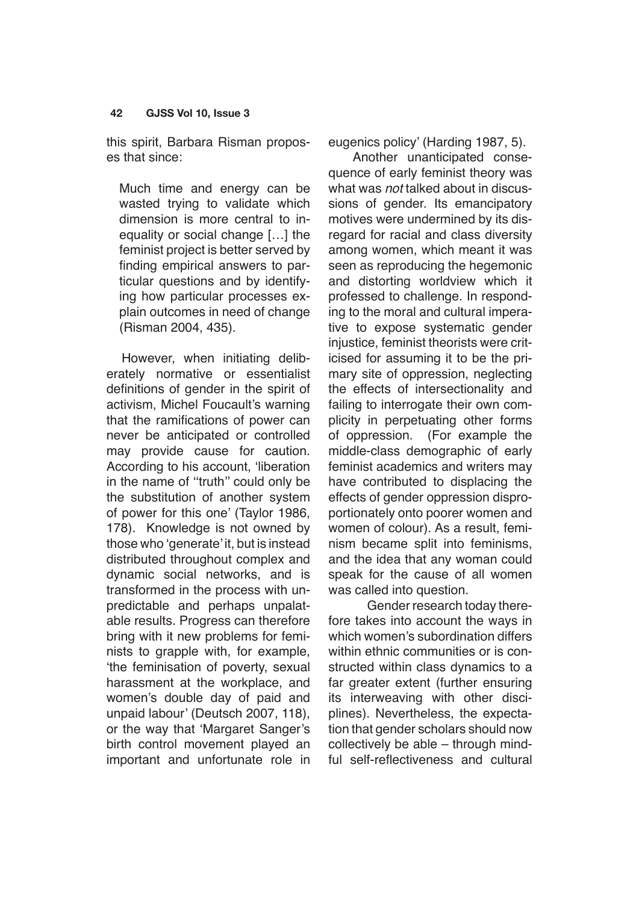this spirit, Barbara Risman proposes that since:

Much time and energy can be wasted trying to validate which dimension is more central to inequality or social change […] the feminist project is better served by finding empirical answers to particular questions and by identifying how particular processes explain outcomes in need of change (Risman 2004, 435).

However, when initiating deliberately normative or essentialist definitions of gender in the spirit of activism, Michel Foucault's warning that the ramifications of power can never be anticipated or controlled may provide cause for caution. According to his account, 'liberation in the name of ''truth'' could only be the substitution of another system of power for this one' (Taylor 1986, 178). Knowledge is not owned by those who 'generate' it, but is instead distributed throughout complex and dynamic social networks, and is transformed in the process with unpredictable and perhaps unpalatable results. Progress can therefore bring with it new problems for feminists to grapple with, for example, 'the feminisation of poverty, sexual harassment at the workplace, and women's double day of paid and unpaid labour' (Deutsch 2007, 118), or the way that 'Margaret Sanger's birth control movement played an important and unfortunate role in eugenics policy' (Harding 1987, 5).

 Another unanticipated consequence of early feminist theory was what was *not* talked about in discussions of gender. Its emancipatory motives were undermined by its disregard for racial and class diversity among women, which meant it was seen as reproducing the hegemonic and distorting worldview which it professed to challenge. In responding to the moral and cultural imperative to expose systematic gender injustice, feminist theorists were criticised for assuming it to be the primary site of oppression, neglecting the effects of intersectionality and failing to interrogate their own complicity in perpetuating other forms of oppression. (For example the middle-class demographic of early feminist academics and writers may have contributed to displacing the effects of gender oppression disproportionately onto poorer women and women of colour). As a result, feminism became split into feminisms, and the idea that any woman could speak for the cause of all women was called into question.

Gender research today therefore takes into account the ways in which women's subordination differs within ethnic communities or is constructed within class dynamics to a far greater extent (further ensuring its interweaving with other disciplines). Nevertheless, the expectation that gender scholars should now collectively be able – through mindful self-reflectiveness and cultural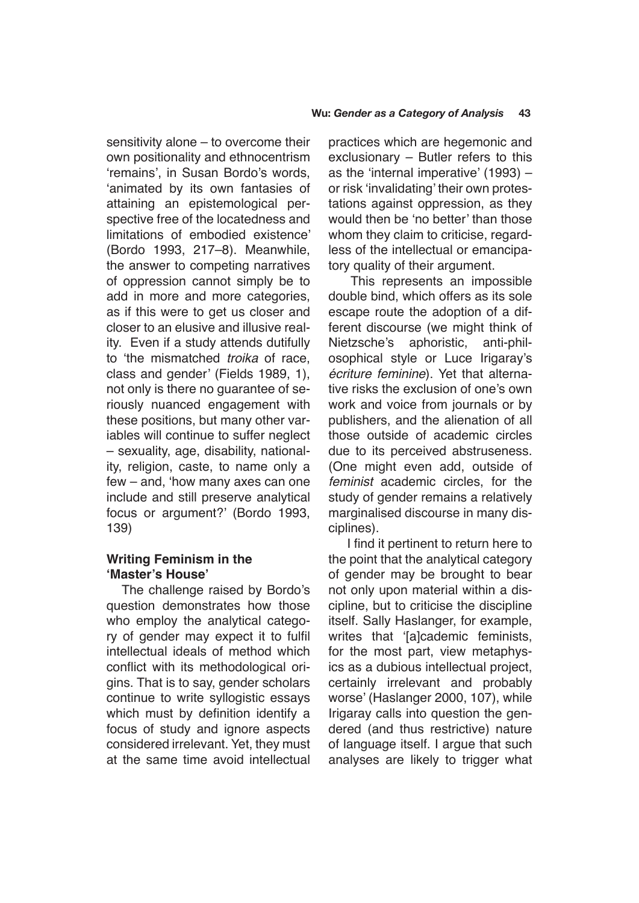sensitivity alone – to overcome their own positionality and ethnocentrism 'remains', in Susan Bordo's words, 'animated by its own fantasies of attaining an epistemological perspective free of the locatedness and limitations of embodied existence' (Bordo 1993, 217–8). Meanwhile, the answer to competing narratives of oppression cannot simply be to add in more and more categories, as if this were to get us closer and closer to an elusive and illusive reality. Even if a study attends dutifully to 'the mismatched troika of race, class and gender' (Fields 1989, 1), not only is there no guarantee of seriously nuanced engagement with these positions, but many other variables will continue to suffer neglect – sexuality, age, disability, nationality, religion, caste, to name only a few – and, 'how many axes can one include and still preserve analytical focus or argument?' (Bordo 1993, 139)

# **Writing Feminism in the 'Master's House'**

The challenge raised by Bordo's question demonstrates how those who employ the analytical category of gender may expect it to fulfil intellectual ideals of method which conflict with its methodological origins. That is to say, gender scholars continue to write syllogistic essays which must by definition identify a focus of study and ignore aspects considered irrelevant. Yet, they must at the same time avoid intellectual

practices which are hegemonic and exclusionary – Butler refers to this as the 'internal imperative' (1993) – or risk 'invalidating' their own protestations against oppression, as they would then be 'no better' than those whom they claim to criticise, regardless of the intellectual or emancipatory quality of their argument.

 This represents an impossible double bind, which offers as its sole escape route the adoption of a different discourse (we might think of Nietzsche's aphoristic, anti-philosophical style or Luce Irigaray's *écriture feminine*). Yet that alternative risks the exclusion of one's own work and voice from journals or by publishers, and the alienation of all those outside of academic circles due to its perceived abstruseness. (One might even add, outside of *feminist* academic circles, for the study of gender remains a relatively marginalised discourse in many disciplines).

 I find it pertinent to return here to the point that the analytical category of gender may be brought to bear not only upon material within a discipline, but to criticise the discipline itself. Sally Haslanger, for example, writes that '[a]cademic feminists, for the most part, view metaphysics as a dubious intellectual project, certainly irrelevant and probably worse' (Haslanger 2000, 107), while Irigaray calls into question the gendered (and thus restrictive) nature of language itself. I argue that such analyses are likely to trigger what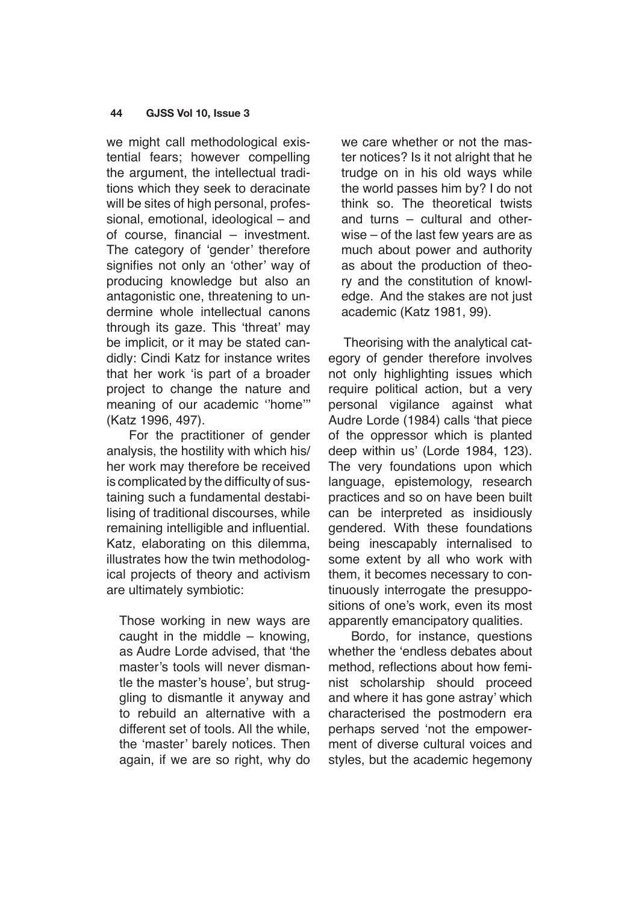we might call methodological existential fears; however compelling the argument, the intellectual traditions which they seek to deracinate will be sites of high personal, professional, emotional, ideological – and of course, financial – investment. The category of 'gender' therefore signifies not only an 'other' way of producing knowledge but also an antagonistic one, threatening to undermine whole intellectual canons through its gaze. This 'threat' may be implicit, or it may be stated candidly: Cindi Katz for instance writes that her work 'is part of a broader project to change the nature and meaning of our academic ''home''' (Katz 1996, 497).

 For the practitioner of gender analysis, the hostility with which his/ her work may therefore be received is complicated by the difficulty of sustaining such a fundamental destabilising of traditional discourses, while remaining intelligible and influential. Katz, elaborating on this dilemma, illustrates how the twin methodological projects of theory and activism are ultimately symbiotic:

Those working in new ways are caught in the middle – knowing, as Audre Lorde advised, that 'the master's tools will never dismantle the master's house', but struggling to dismantle it anyway and to rebuild an alternative with a different set of tools. All the while, the 'master' barely notices. Then again, if we are so right, why do we care whether or not the master notices? Is it not alright that he trudge on in his old ways while the world passes him by? I do not think so. The theoretical twists and turns – cultural and otherwise – of the last few years are as much about power and authority as about the production of theory and the constitution of knowledge. And the stakes are not just academic (Katz 1981, 99).

Theorising with the analytical category of gender therefore involves not only highlighting issues which require political action, but a very personal vigilance against what Audre Lorde (1984) calls 'that piece of the oppressor which is planted deep within us' (Lorde 1984, 123). The very foundations upon which language, epistemology, research practices and so on have been built can be interpreted as insidiously gendered. With these foundations being inescapably internalised to some extent by all who work with them, it becomes necessary to continuously interrogate the presuppositions of one's work, even its most apparently emancipatory qualities.

 Bordo, for instance, questions whether the 'endless debates about method, reflections about how feminist scholarship should proceed and where it has gone astray' which characterised the postmodern era perhaps served 'not the empowerment of diverse cultural voices and styles, but the academic hegemony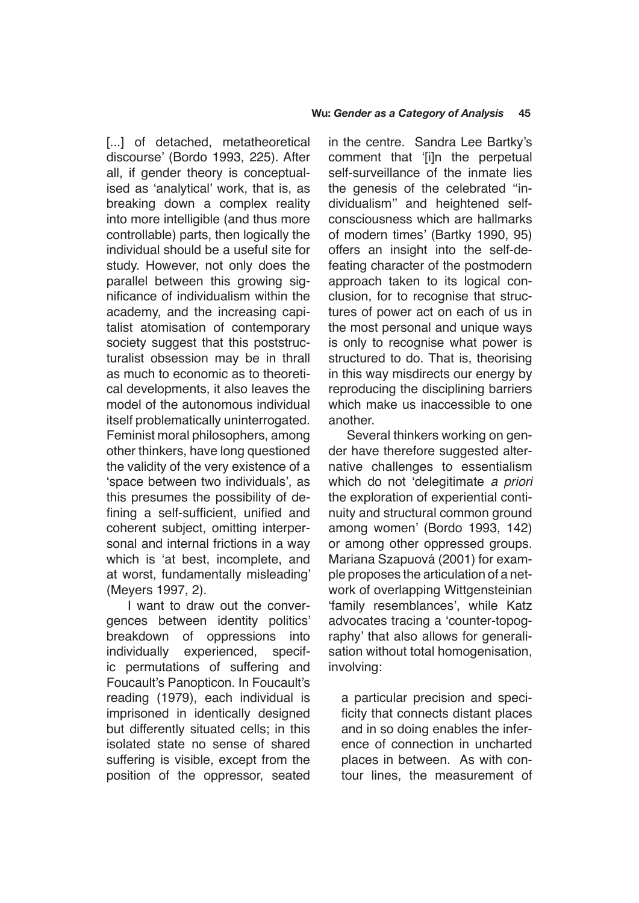[...] of detached, metatheoretical discourse' (Bordo 1993, 225). After all, if gender theory is conceptualised as 'analytical' work, that is, as breaking down a complex reality into more intelligible (and thus more controllable) parts, then logically the individual should be a useful site for study. However, not only does the parallel between this growing significance of individualism within the academy, and the increasing capitalist atomisation of contemporary society suggest that this poststructuralist obsession may be in thrall as much to economic as to theoretical developments, it also leaves the model of the autonomous individual itself problematically uninterrogated. Feminist moral philosophers, among other thinkers, have long questioned the validity of the very existence of a 'space between two individuals', as this presumes the possibility of defining a self-sufficient, unified and coherent subject, omitting interpersonal and internal frictions in a way which is 'at best, incomplete, and at worst, fundamentally misleading' (Meyers 1997, 2).

 I want to draw out the convergences between identity politics' breakdown of oppressions into individually experienced, specific permutations of suffering and Foucault's Panopticon. In Foucault's reading (1979), each individual is imprisoned in identically designed but differently situated cells; in this isolated state no sense of shared suffering is visible, except from the position of the oppressor, seated in the centre. Sandra Lee Bartky's comment that '[i]n the perpetual self-surveillance of the inmate lies the genesis of the celebrated ''individualism'' and heightened selfconsciousness which are hallmarks of modern times' (Bartky 1990, 95) offers an insight into the self-defeating character of the postmodern approach taken to its logical conclusion, for to recognise that structures of power act on each of us in the most personal and unique ways is only to recognise what power is structured to do. That is, theorising in this way misdirects our energy by reproducing the disciplining barriers which make us inaccessible to one another.

 Several thinkers working on gender have therefore suggested alternative challenges to essentialism which do not 'delegitimate *a priori*  the exploration of experiential continuity and structural common ground among women' (Bordo 1993, 142) or among other oppressed groups. Mariana Szapuová (2001) for example proposes the articulation of a network of overlapping Wittgensteinian 'family resemblances', while Katz advocates tracing a 'counter-topography' that also allows for generalisation without total homogenisation, involving:

a particular precision and specificity that connects distant places and in so doing enables the inference of connection in uncharted places in between. As with contour lines, the measurement of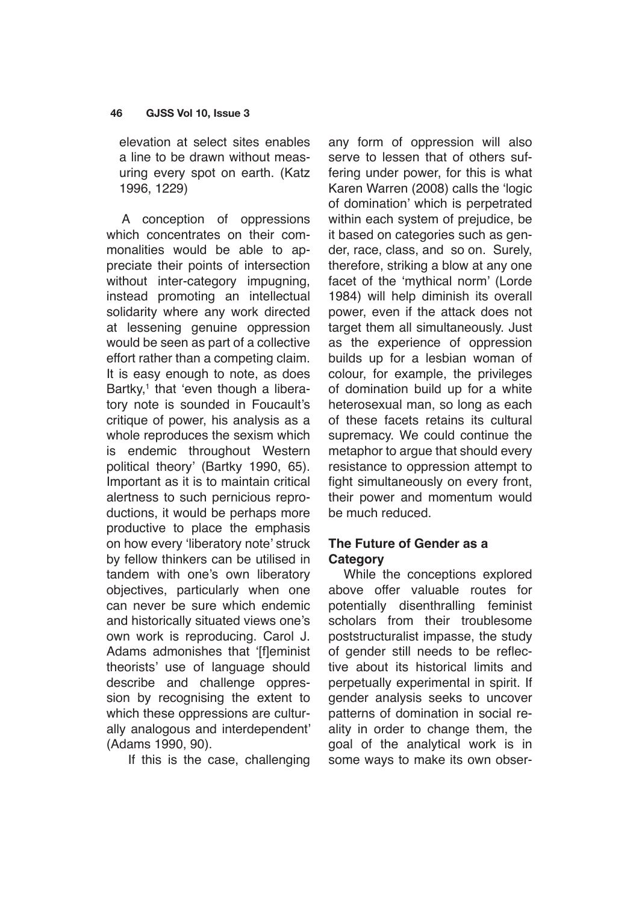elevation at select sites enables a line to be drawn without measuring every spot on earth. (Katz 1996, 1229)

A conception of oppressions which concentrates on their commonalities would be able to appreciate their points of intersection without inter-category impugning, instead promoting an intellectual solidarity where any work directed at lessening genuine oppression would be seen as part of a collective effort rather than a competing claim. It is easy enough to note, as does Bartky,<sup>1</sup> that 'even though a liberatory note is sounded in Foucault's critique of power, his analysis as a whole reproduces the sexism which is endemic throughout Western political theory' (Bartky 1990, 65). Important as it is to maintain critical alertness to such pernicious reproductions, it would be perhaps more productive to place the emphasis on how every 'liberatory note' struck by fellow thinkers can be utilised in tandem with one's own liberatory objectives, particularly when one can never be sure which endemic and historically situated views one's own work is reproducing. Carol J. Adams admonishes that '[f]eminist theorists' use of language should describe and challenge oppression by recognising the extent to which these oppressions are culturally analogous and interdependent' (Adams 1990, 90).

If this is the case, challenging

any form of oppression will also serve to lessen that of others suffering under power, for this is what Karen Warren (2008) calls the 'logic of domination' which is perpetrated within each system of prejudice, be it based on categories such as gender, race, class, and so on. Surely, therefore, striking a blow at any one facet of the 'mythical norm' (Lorde 1984) will help diminish its overall power, even if the attack does not target them all simultaneously. Just as the experience of oppression builds up for a lesbian woman of colour, for example, the privileges of domination build up for a white heterosexual man, so long as each of these facets retains its cultural supremacy. We could continue the metaphor to argue that should every resistance to oppression attempt to fight simultaneously on every front, their power and momentum would be much reduced.

# **The Future of Gender as a Category**

While the conceptions explored above offer valuable routes for potentially disenthralling feminist scholars from their troublesome poststructuralist impasse, the study of gender still needs to be reflective about its historical limits and perpetually experimental in spirit. If gender analysis seeks to uncover patterns of domination in social reality in order to change them, the goal of the analytical work is in some ways to make its own obser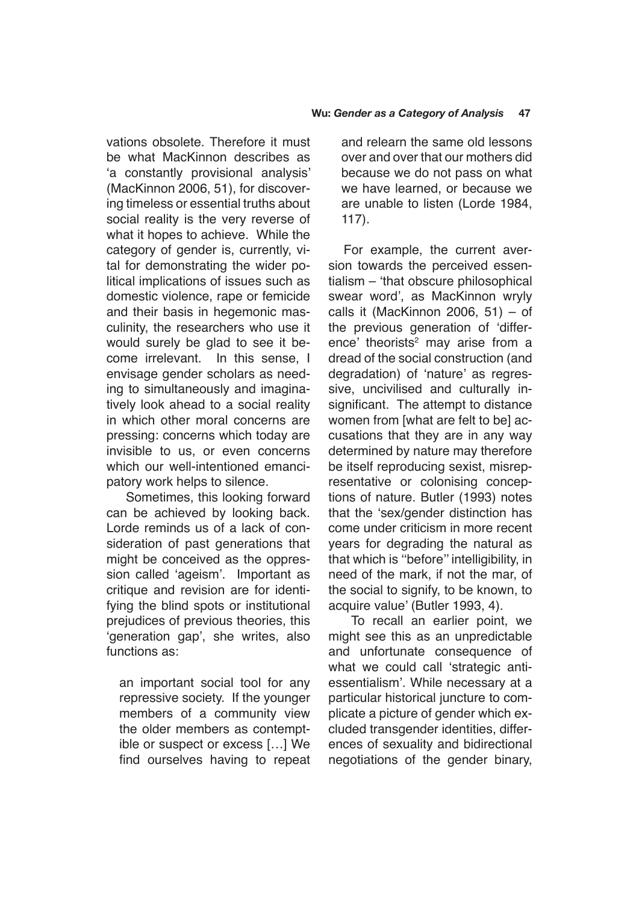vations obsolete. Therefore it must be what MacKinnon describes as 'a constantly provisional analysis' (MacKinnon 2006, 51), for discovering timeless or essential truths about social reality is the very reverse of what it hopes to achieve. While the category of gender is, currently, vital for demonstrating the wider political implications of issues such as domestic violence, rape or femicide and their basis in hegemonic masculinity, the researchers who use it would surely be glad to see it become irrelevant. In this sense, I envisage gender scholars as needing to simultaneously and imaginatively look ahead to a social reality in which other moral concerns are pressing: concerns which today are invisible to us, or even concerns which our well-intentioned emancipatory work helps to silence.

 Sometimes, this looking forward can be achieved by looking back. Lorde reminds us of a lack of consideration of past generations that might be conceived as the oppression called 'ageism'. Important as critique and revision are for identifying the blind spots or institutional prejudices of previous theories, this 'generation gap', she writes, also functions as:

an important social tool for any repressive society. If the younger members of a community view the older members as contemptible or suspect or excess […] We find ourselves having to repeat and relearn the same old lessons over and over that our mothers did because we do not pass on what we have learned, or because we are unable to listen (Lorde 1984, 117).

For example, the current aversion towards the perceived essentialism – 'that obscure philosophical swear word', as MacKinnon wryly calls it (MacKinnon 2006, 51) – of the previous generation of 'difference' theorists<sup>2</sup> may arise from a dread of the social construction (and degradation) of 'nature' as regressive, uncivilised and culturally insignificant. The attempt to distance women from [what are felt to be] accusations that they are in any way determined by nature may therefore be itself reproducing sexist, misrepresentative or colonising conceptions of nature. Butler (1993) notes that the 'sex/gender distinction has come under criticism in more recent years for degrading the natural as that which is ''before'' intelligibility, in need of the mark, if not the mar, of the social to signify, to be known, to acquire value' (Butler 1993, 4).

 To recall an earlier point, we might see this as an unpredictable and unfortunate consequence of what we could call 'strategic antiessentialism'. While necessary at a particular historical juncture to complicate a picture of gender which excluded transgender identities, differences of sexuality and bidirectional negotiations of the gender binary,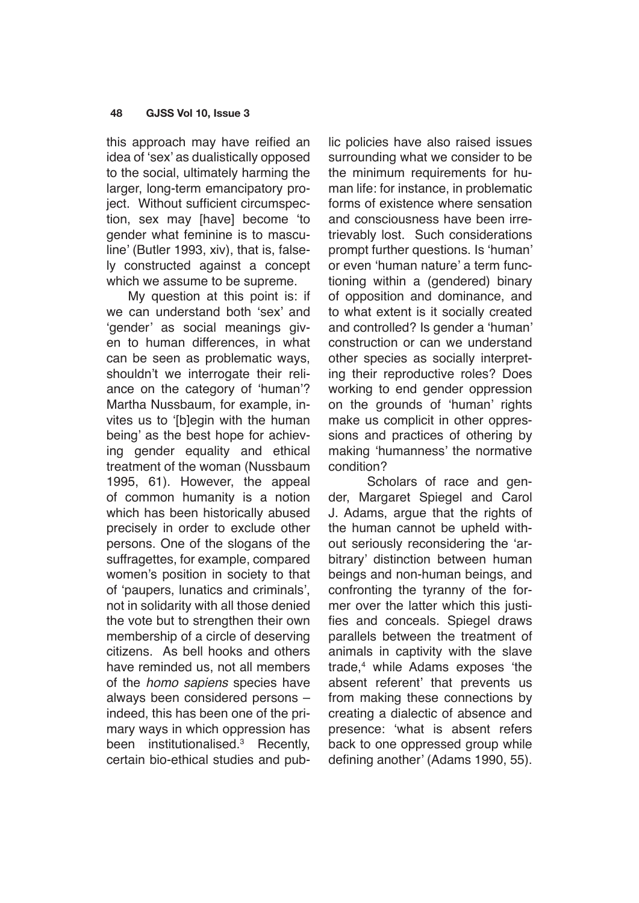this approach may have reified an idea of 'sex' as dualistically opposed to the social, ultimately harming the larger, long-term emancipatory project. Without sufficient circumspection, sex may [have] become 'to gender what feminine is to masculine' (Butler 1993, xiv), that is, falsely constructed against a concept which we assume to be supreme.

 My question at this point is: if we can understand both 'sex' and 'gender' as social meanings given to human differences, in what can be seen as problematic ways, shouldn't we interrogate their reliance on the category of 'human'? Martha Nussbaum, for example, invites us to '[b]egin with the human being' as the best hope for achieving gender equality and ethical treatment of the woman (Nussbaum 1995, 61). However, the appeal of common humanity is a notion which has been historically abused precisely in order to exclude other persons. One of the slogans of the suffragettes, for example, compared women's position in society to that of 'paupers, lunatics and criminals', not in solidarity with all those denied the vote but to strengthen their own membership of a circle of deserving citizens. As bell hooks and others have reminded us, not all members of the *homo sapiens* species have always been considered persons – indeed, this has been one of the primary ways in which oppression has been institutionalised.3 Recently, certain bio-ethical studies and public policies have also raised issues surrounding what we consider to be the minimum requirements for human life: for instance, in problematic forms of existence where sensation and consciousness have been irretrievably lost. Such considerations prompt further questions. Is 'human' or even 'human nature' a term functioning within a (gendered) binary of opposition and dominance, and to what extent is it socially created and controlled? Is gender a 'human' construction or can we understand other species as socially interpreting their reproductive roles? Does working to end gender oppression on the grounds of 'human' rights make us complicit in other oppressions and practices of othering by making 'humanness' the normative condition?

Scholars of race and gender, Margaret Spiegel and Carol J. Adams, argue that the rights of the human cannot be upheld without seriously reconsidering the 'arbitrary' distinction between human beings and non-human beings, and confronting the tyranny of the former over the latter which this justifies and conceals. Spiegel draws parallels between the treatment of animals in captivity with the slave trade,4 while Adams exposes 'the absent referent' that prevents us from making these connections by creating a dialectic of absence and presence: 'what is absent refers back to one oppressed group while defining another' (Adams 1990, 55).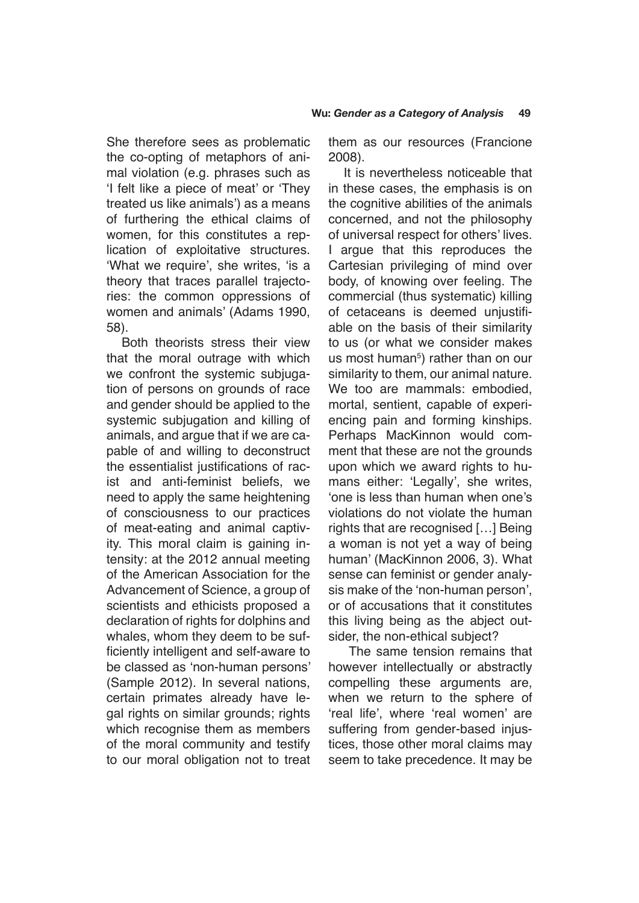She therefore sees as problematic the co-opting of metaphors of animal violation (e.g. phrases such as 'I felt like a piece of meat' or 'They treated us like animals') as a means of furthering the ethical claims of women, for this constitutes a replication of exploitative structures. 'What we require', she writes, 'is a theory that traces parallel trajectories: the common oppressions of women and animals' (Adams 1990, 58).

Both theorists stress their view that the moral outrage with which we confront the systemic subjugation of persons on grounds of race and gender should be applied to the systemic subjugation and killing of animals, and argue that if we are capable of and willing to deconstruct the essentialist justifications of racist and anti-feminist beliefs, we need to apply the same heightening of consciousness to our practices of meat-eating and animal captivity. This moral claim is gaining intensity: at the 2012 annual meeting of the American Association for the Advancement of Science, a group of scientists and ethicists proposed a declaration of rights for dolphins and whales, whom they deem to be sufficiently intelligent and self-aware to be classed as 'non-human persons' (Sample 2012). In several nations, certain primates already have legal rights on similar grounds; rights which recognise them as members of the moral community and testify to our moral obligation not to treat them as our resources (Francione 2008).

It is nevertheless noticeable that in these cases, the emphasis is on the cognitive abilities of the animals concerned, and not the philosophy of universal respect for others' lives. I argue that this reproduces the Cartesian privileging of mind over body, of knowing over feeling. The commercial (thus systematic) killing of cetaceans is deemed unjustifiable on the basis of their similarity to us (or what we consider makes us most human $5$ ) rather than on our similarity to them, our animal nature. We too are mammals: embodied, mortal, sentient, capable of experiencing pain and forming kinships. Perhaps MacKinnon would comment that these are not the grounds upon which we award rights to humans either: 'Legally', she writes, 'one is less than human when one's violations do not violate the human rights that are recognised […] Being a woman is not yet a way of being human' (MacKinnon 2006, 3). What sense can feminist or gender analysis make of the 'non-human person', or of accusations that it constitutes this living being as the abject outsider, the non-ethical subject?

 The same tension remains that however intellectually or abstractly compelling these arguments are, when we return to the sphere of 'real life', where 'real women' are suffering from gender-based injustices, those other moral claims may seem to take precedence. It may be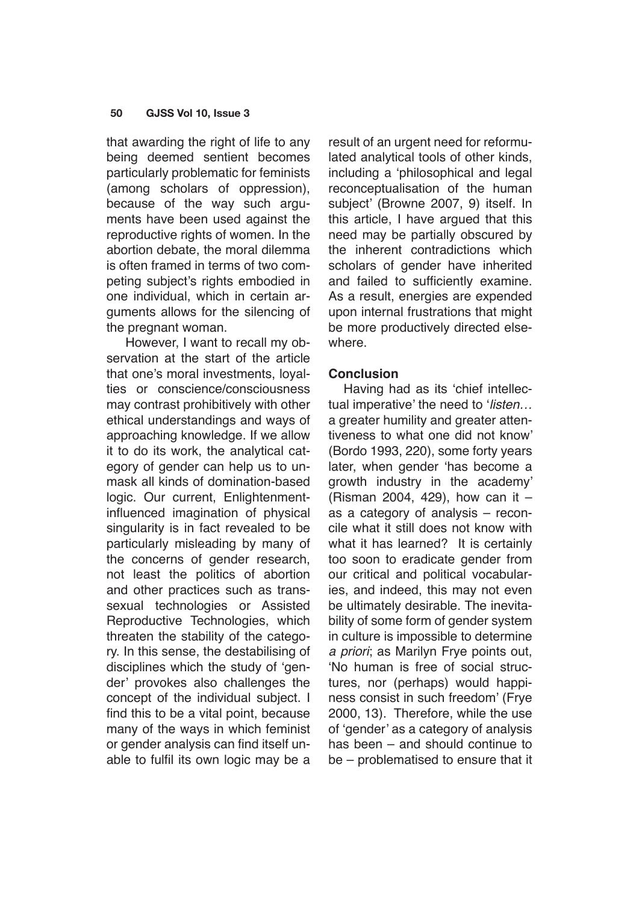that awarding the right of life to any being deemed sentient becomes particularly problematic for feminists (among scholars of oppression), because of the way such arguments have been used against the reproductive rights of women. In the abortion debate, the moral dilemma is often framed in terms of two competing subject's rights embodied in one individual, which in certain arguments allows for the silencing of the pregnant woman.

 However, I want to recall my observation at the start of the article that one's moral investments, loyalties or conscience/consciousness may contrast prohibitively with other ethical understandings and ways of approaching knowledge. If we allow it to do its work, the analytical category of gender can help us to unmask all kinds of domination-based logic. Our current, Enlightenmentinfluenced imagination of physical singularity is in fact revealed to be particularly misleading by many of the concerns of gender research, not least the politics of abortion and other practices such as transsexual technologies or Assisted Reproductive Technologies, which threaten the stability of the category. In this sense, the destabilising of disciplines which the study of 'gender' provokes also challenges the concept of the individual subject. I find this to be a vital point, because many of the ways in which feminist or gender analysis can find itself unable to fulfil its own logic may be a result of an urgent need for reformulated analytical tools of other kinds, including a 'philosophical and legal reconceptualisation of the human subject' (Browne 2007, 9) itself. In this article, I have argued that this need may be partially obscured by the inherent contradictions which scholars of gender have inherited and failed to sufficiently examine. As a result, energies are expended upon internal frustrations that might be more productively directed elsewhere.

## **Conclusion**

Having had as its 'chief intellectual imperative' the need to '*listen…* a greater humility and greater attentiveness to what one did not know' (Bordo 1993, 220), some forty years later, when gender 'has become a growth industry in the academy' (Risman 2004, 429), how can it – as a category of analysis – reconcile what it still does not know with what it has learned? It is certainly too soon to eradicate gender from our critical and political vocabularies, and indeed, this may not even be ultimately desirable. The inevitability of some form of gender system in culture is impossible to determine *a priori*; as Marilyn Frye points out, 'No human is free of social structures, nor (perhaps) would happiness consist in such freedom' (Frye 2000, 13). Therefore, while the use of 'gender' as a category of analysis has been – and should continue to be – problematised to ensure that it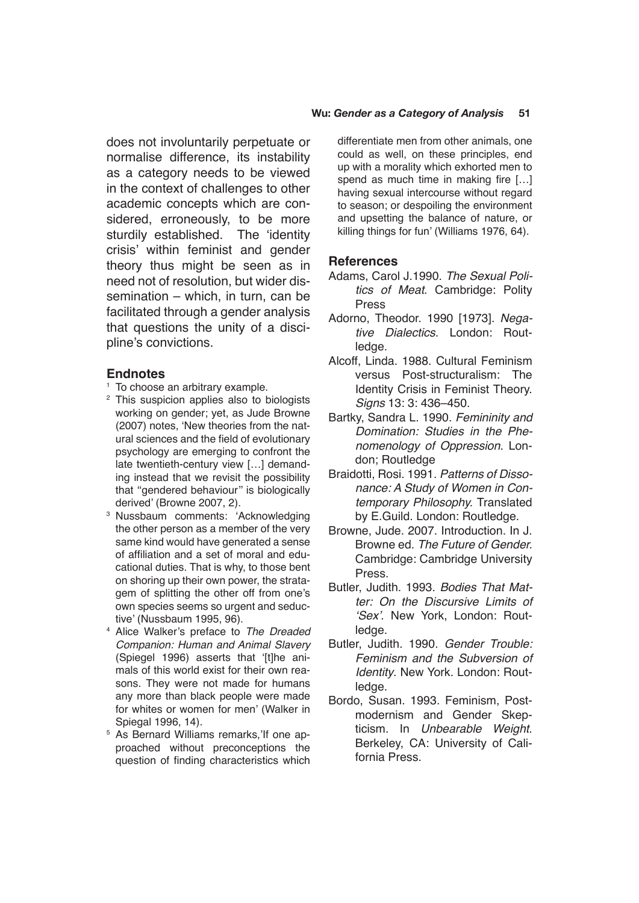does not involuntarily perpetuate or normalise difference, its instability as a category needs to be viewed in the context of challenges to other academic concepts which are considered, erroneously, to be more sturdily established. The 'identity crisis' within feminist and gender theory thus might be seen as in need not of resolution, but wider dissemination – which, in turn, can be facilitated through a gender analysis that questions the unity of a discipline's convictions.

## **Endnotes**

- <sup>1</sup> To choose an arbitrary example.
- <sup>2</sup> This suspicion applies also to biologists working on gender; yet, as Jude Browne (2007) notes, 'New theories from the natural sciences and the field of evolutionary psychology are emerging to confront the late twentieth-century view […] demanding instead that we revisit the possibility that ''gendered behaviour'' is biologically derived' (Browne 2007, 2).
- <sup>3</sup> Nussbaum comments: 'Acknowledging the other person as a member of the very same kind would have generated a sense of affiliation and a set of moral and educational duties. That is why, to those bent on shoring up their own power, the stratagem of splitting the other off from one's own species seems so urgent and seductive' (Nussbaum 1995, 96).
- <sup>4</sup> Alice Walker's preface to *The Dreaded Companion: Human and Animal Slavery* (Spiegel 1996) asserts that '[t]he animals of this world exist for their own reasons. They were not made for humans any more than black people were made for whites or women for men' (Walker in Spiegal 1996, 14).
- <sup>5</sup> As Bernard Williams remarks,'If one approached without preconceptions the question of finding characteristics which

differentiate men from other animals, one could as well, on these principles, end up with a morality which exhorted men to spend as much time in making fire […] having sexual intercourse without regard to season; or despoiling the environment and upsetting the balance of nature, or killing things for fun' (Williams 1976, 64).

#### **References**

- Adams, Carol J.1990. *The Sexual Politics of Meat*. Cambridge: Polity Press
- Adorno, Theodor. 1990 [1973]. *Negative Dialectics*. London: Routledge.
- Alcoff, Linda. 1988. Cultural Feminism versus Post-structuralism: The Identity Crisis in Feminist Theory. *Signs* 13: 3: 436–450.
- Bartky, Sandra L. 1990. *Femininity and Domination: Studies in the Phenomenology of Oppression*. London; Routledge
- Braidotti, Rosi. 1991. *Patterns of Dissonance: A Study of Women in Contemporary Philosophy.* Translated by E.Guild. London: Routledge.
- Browne, Jude. 2007. Introduction. In J. Browne ed. *The Future of Gender.*  Cambridge: Cambridge University Press.
- Butler, Judith. 1993. *Bodies That Matter: On the Discursive Limits of*  'Sex'. New York, London: Routledge.
- Butler, Judith. 1990. *Gender Trouble: Feminism and the Subversion of Identity*. New York. London: Routledge.
- Bordo, Susan. 1993. Feminism, Postmodernism and Gender Skepticism. In *Unbearable Weight*. Berkeley, CA: University of California Press.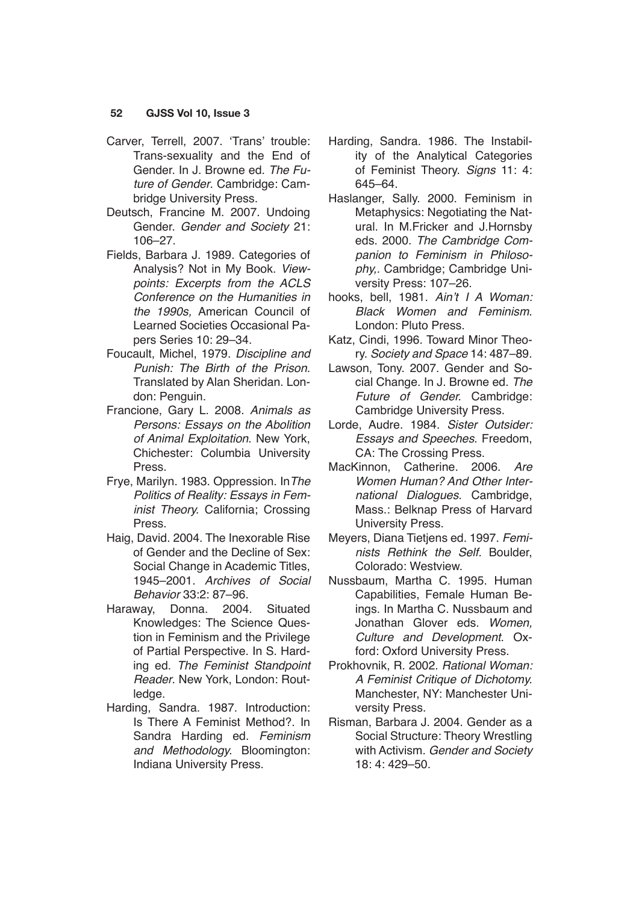- Carver, Terrell, 2007. 'Trans' trouble: Trans-sexuality and the End of Gender. In J. Browne ed. *The Future of Gender*. Cambridge: Cambridge University Press.
- Deutsch, Francine M. 2007. Undoing Gender. *Gender and Society* 21: 106–27.
- Fields, Barbara J. 1989. Categories of Analysis? Not in My Book. *Viewpoints: Excerpts from the ACLS Conference on the Humanities in the 1990s,* American Council of Learned Societies Occasional Papers Series 10: 29–34.
- Foucault, Michel, 1979. *Discipline and Punish: The Birth of the Prison.*  Translated by Alan Sheridan. London: Penguin.
- Francione, Gary L. 2008. *Animals as Persons: Essays on the Abolition of Animal Exploitation*. New York, Chichester: Columbia University Press.
- Frye, Marilyn. 1983. Oppression. In*The Politics of Reality: Essays in Feminist Theory.* California; Crossing Press.
- Haig, David. 2004. The Inexorable Rise of Gender and the Decline of Sex: Social Change in Academic Titles, 1945–2001. *Archives of Social Behavior* 33:2: 87–96.
- Haraway, Donna. 2004. Situated Knowledges: The Science Question in Feminism and the Privilege of Partial Perspective. In S. Harding ed. *The Feminist Standpoint Reader*. New York, London: Routledge.
- Harding, Sandra. 1987. Introduction: Is There A Feminist Method?. In Sandra Harding ed. *Feminism and Methodology.* Bloomington: Indiana University Press.
- Harding, Sandra. 1986. The Instability of the Analytical Categories of Feminist Theory. *Signs* 11: 4: 645–64.
- Haslanger, Sally. 2000. Feminism in Metaphysics: Negotiating the Natural. In M.Fricker and J.Hornsby eds. 2000. *The Cambridge Companion to Feminism in Philosophy,.* Cambridge; Cambridge University Press: 107–26.
- hooks, bell, 1981. Ain't I A Woman: Black Women and Feminism. London: Pluto Press.
- Katz, Cindi, 1996. Toward Minor Theory. *Society and Space* 14: 487–89.
- Lawson, Tony. 2007. Gender and Social Change. In J. Browne ed. *The Future of Gender.* Cambridge: Cambridge University Press.
- Lorde, Audre. 1984. *Sister Outsider: Essays and Speeches*. Freedom, CA: The Crossing Press.
- MacKinnon, Catherine. 2006. *Are Women Human? And Other International Dialogues.* Cambridge, Mass.: Belknap Press of Harvard University Press.
- Meyers, Diana Tietjens ed. 1997. *Femi*nists Rethink the Self. Boulder, Colorado: Westview.
- Nussbaum, Martha C. 1995. Human Capabilities, Female Human Beings. In Martha C. Nussbaum and Jonathan Glover eds. *Women, Culture and Development*. Oxford: Oxford University Press.
- Prokhovnik, R. 2002. *Rational Woman:*  A Feminist Critique of Dichotomy. Manchester, NY: Manchester University Press.
- Risman, Barbara J. 2004. Gender as a Social Structure: Theory Wrestling with Activism. *Gender and Society*  18: 4: 429–50.